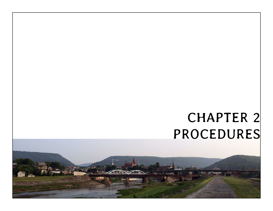# CHAPTER 2 PROCEDURES

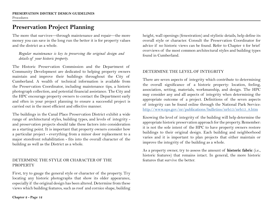# **Preservation Project Planning**

The more that survives—through maintenance and repair—the more money you can save in the long run the better it is for property values and the district as a whole.

## *Regular maintenance is key to preserving the original design and details of your historic property.*

The Historic Preservation Commission and the Department of Community Development are dedicated to helping property owners maintain and improve their buildings throughout the City of Cumberland. A wealth of technical information is available from the Preservation Coordinator, including maintenance tips, a historic photograph collection, and potential financial assistance. The City and the HPC encourage property owners to contact the Department early and often in your project planning to ensure a successful project is carried out in the most efficient and effective manner.

The buildings in the Canal Place Preservation District exhibit a wide range of architectural styles, building types, and levels of integrity and preservation projects should take these factors into consideration as a starting point. It is important that property owners consider how a particular project - everything from a minor door replacement to a major storefront rehabilitation - fits into the overall character of the building as well as the District as a whole.

## DETERMINE THE STYLE OR CHARACTER OF THE **PROPERTY**

First, try to gauge the general style or character of the property. Try locating any historic photographs that show its older appearance, especially if the original design has been altered. Determine from these views which building features, such as roof and cornice shape, building height, wall openings (fenestration) and stylistic details, help define its overall style or character. Consult the Preservation Coordinator for advice if no historic views can be found. Refer to Chapter 4 for brief overviews of the most common architectural styles and building types found in Cumberland.

## DETERMINE THE LEVEL OF INTEGRITY

There are seven aspects of integrity which contribute to determining the overall significance of a historic property: location, feeling, association, setting, materials, workmanship, and design. The HPC may consider any and all aspects of integrity when determining the appropriate outcome of a project. Definitions of the seven aspects of integrity can be found online through the National Park Service: [http://www.nps.gov/nr/publications/bulletins/nrb15/nrb15\\_8.htm](http://www.nps.gov/nr/publications/bulletins/nrb15/nrb15_8.htm)

Knowing the level of integrity of the building will help determine the appropriate historic preservation approach for the property. Remember: it is not the sole intent of the HPC to have property owners restore buildings to their original design. Each building and neighborhood varies and it is important to plan projects that either maintain or improve the integrity of the building as a whole.

As a property owner, try to assess the amount of **historic fabric** (i.e., historic features) that remains intact. In general, the more historic features that survive the better.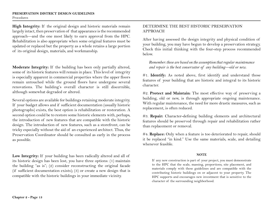**High Integrity:** If the original design and historic materials remain largely intact, then preservation of that appearance is the recommended approach—and the one most likely to earn approval from the HPC. Rehabilitation is also appropriate when some original features must be updated or replaced but the property as a whole retains a large portion of its original design, materials, and workmanship.

**Moderate Integrity:** If the building has been only partially altered, some of its historic features will remain in place. This level of integrity is especially apparent in commercial properties where the upper floors remain untouched while the ground floors have undergone several renovations. The building's overall character is still discernible, although somewhat degraded or altered.

Several options are available for buildings retaining moderate integrity. If your budget allows and if sufficient documentation (usually historic photographs) exists, the best option is rehabilitation or restoration. A second option could be to restore some historic elements with, perhaps, the introduction of new features that are compatible with the historic design. The introduction of new features, such as a storefront, can be tricky especially without the aid of an experienced architect. Thus, the Preservation Coordinator should be consulted as early in the process as possible.

**Low Integrity:** If your building has been radically altered and all of its historic design has been lost, you have three options: (1) maintain the building "as is"; (2) consider reconstructing the original facade (if sufficient documentation exists); (3) or create a new design that is compatible with the historic buildings in your immediate vicinity.

## DETERMINE THE BEST HISTORIC PRESERVATION APPROACH

After having assessed the design integrity and physical condition of your building, you may have begun to develop a preservation strategy. Check this initial thinking with the four-step process recommended below.

*Remember: these are based on the assumption that regular maintenance and repair is the best conservator of any building—old or new.* 

#1. **Identify:** As noted above, first identify and understand those features of your building that are historic and integral to its historic character.

#2. **Protect and Maintain:** The most effective way of preserving a building, old or new, is through appropriate ongoing maintenance. With regular maintenance, the need for more drastic measures, such as replacement, is often reduced.

#3. **Repair:** Character-defining building elements and architectural features should be preserved through repair and rehabilitation rather than replacement or removal.

#4. **Replace:** Only when a feature is too deteriorated to repair, should it be replaced "in kind." Use the same materials, scale, and detailing whenever feasible.

## **NOTE**

If any new construction is part of your project, you must demonstrate to the HPC that the scale, massing, proportions, site placement, and materials comply with these guidelines and are compatible with the contributing historic buildings on or adjacent to your property. The HPC supports and encourages new investment that is sensitive to the character of the surrounding neighborhood.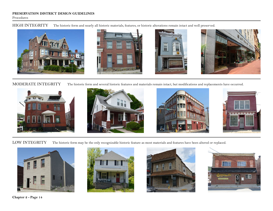Procedures

HIGH INTEGRITY The historic form and nearly all historic materials, features, or historic alterations remain intact and well preserved.



MODERATE INTEGRITY The historic form and several historic features and materials remain intact, but modifications and replacements have occurred.



LOW INTEGRITY The historic form may be the only recognizable historic feature as most materials and features have been altered or replaced.









**Chapter 2 - Page 14**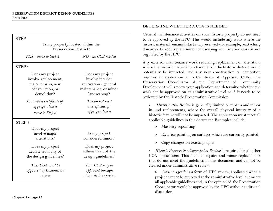| Is my property located within the<br>Preservation District?                                      |                                                                                                      |
|--------------------------------------------------------------------------------------------------|------------------------------------------------------------------------------------------------------|
| YES - move to Step 2                                                                             | $NO$ - no $COA$ needed                                                                               |
| STEP <sub>2</sub>                                                                                |                                                                                                      |
| Does my project<br>involve replacement,<br>major repairs, new<br>construction, or<br>demolition? | Does my project<br>involve interior<br>renovations, general<br>maintenance, or minor<br>landscaping? |
| You need a certificate of<br>appropriateness<br>move to Step 3                                   | You do not need<br>a certificate of<br>appropriateness                                               |
| STEP <sub>3</sub>                                                                                |                                                                                                      |
| Does my project<br>involve major<br>alterations?                                                 | Is my project<br>considered minor?                                                                   |
| Does my project<br>deviate from any of<br>the design guidelines?                                 | Does my project<br>adhere to all of the<br>design guidelines?                                        |
| Your COA must be<br>approved by Commission<br>review                                             | Your COA may be<br>approved through<br>administrative review                                         |

## DETERMINE WHETHER A COA IS NEEDED

General maintenance activities on your historic property do not need to be approved by the HPC. This would include any work where the historic material remains intact and preserved - for example, reattaching downspouts, roof repair, minor landscaping, etc. Interior work is not regulated by the HPC.

Any exterior maintenance work requiring replacement or alteration, where the historic material or character of the historic district would potentially be impacted, and any new construction or demolition requires an application for a Certificate of Approval (COA). The Preservation Coordinator at the Department of Community Development will review your application and determine whether the work can be approved on an administrative level or if it needs to be reviewed by the Historic Preservation Commission.

» *Administrative Review* is generally limited to repairs and minor in-kind replacements, where the overall physical integrity of a historic feature will not be impacted. The application must meet all applicable guidelines in this document. Examples include:

- » Masonry repointing
- » Exterior painting on surfaces which are currently painted
- » Copy changes on existing signs

» *Historic Preservation Commission Review* is required for all other COA applications. This includes repairs and minor replacements that do not meet the guidelines in this document and cannot be cleared under administrative review.

» *Consent Agenda* is a form of HPC review, applicable when a project cannot be approved at the administrative level but meets all applicable guidelines and, in the opinion of the Preservation Coordinator, would be approved by the HPC without additional discussion.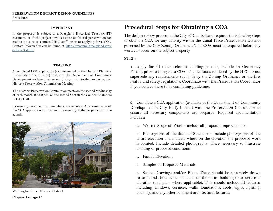#### **IMPORTANT**

If the property is subject to a Maryland Historical Trust (MHT) easement, or if the project involves state or federal preservation tax credits, be sure to contact MHT staff prior to applying for a COA. Contact information can be found at: http://www.mht.maryland.gov/ callwho3.shmtl.

#### **TIMELINE**

A completed COA application (as determined by the Historic Planner/ Preservation Coordinator) is due to the Department of Community Development no later than seven (7) days prior to the next scheduled Historic Preservation Commission Meeting.

The Historic Preservation Commission meets on the second Wednesday of each month at 4:00 p.m. on the second floor in the Council Chambers in City Hall.

Its meetings are open to all members of the public. A representative of the COA application must attend the meeting if the property is on the agenda.



Washington Street Historic District.

## **Procedural Steps for Obtaining a COA**

The design review process in the City of Cumberland requires the following steps to obtain a COA for any activity within the Canal Place Preservation District governed by the City Zoning Ordinance. This COA must be acquired before any work can occur on the subject property.

## STEPS:

1. Apply for all other relevant building permits, include an Occupancy Permit, prior to filing for a COA. The decisions rendered by the HPC do not supersede any requirements set forth by the Zoning Ordinance or the fire, health, and safety regulations. Coordinate with the Preservation Coordinator if you believe there to be conflicting guidelines.

2. Complete a COA application (available at the Department of Community Development in City Hall). Consult with the Preservation Coordinator to ensure all necessary components are prepared. Required documentation includes:

a. Written Scope of Work – include all proposed improvements.

b. Photographs of the Site and Structure – include photographs of the entire elevation and indicate where on the elevation the proposed work is located. Include detailed photographs where necessary to illustrate existing or proposed conditions.

- c. Facade Elevations
- d. Samples of Proposed Materials

e. Scaled Drawings and/or Plans. These should be accurately drawn to scale and show sufficient detail of the entire building or structure in elevation (and plan, where applicable). This should include all features, including windows, cornices, walls, foundations, roofs, signs, lighting, awnings, and any other pertinent architectural features.

**Chapter 2 - Page 16**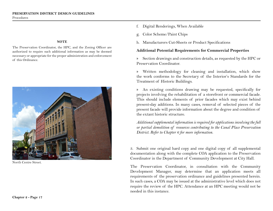#### **NOTE**

The Preservation Coordinator, the HPC, and the Zoning Officer are authorized to require such additional information as may be deemed necessary or appropriate for the proper administration and enforcement of this Ordinance.



North Centre Street.

- f. Digital Renderings, When Available
- g. Color Scheme/Paint Chips
- h. Manufacturers Cut-Sheets or Product Specifications

## **Additional Potential Requirements for Commercial Properties**

» Section drawings and construction details, as requested by the HPC or Preservation Coordinator.

» Written methodology for cleaning and installation, which show the work conforms to the Secretary of the Interior's Standards for the Treatment of Historic Buildings.

» An existing conditions drawing may be requested, specifically for projects involving the rehabilitation of a storefront or commercial facade. This should include elements of prior facades which may exist behind present-day additions. In many cases, removal of selected pieces of the present facade will provide information about the degree and condition of the extant historic structure.

*Additional supplemental information is required for applications involving the full or partial demolition of resources contributing to the Canal Place Preservation District. Refer to Chapter 6 for more information.*

3. Submit one original hard copy and one digital copy of all supplemental documentation along with the complete COA application to the Preservation Coordinator in the Department of Community Development at City Hall.

The Preservation Coordinator, in consultation with the Community Development Manager, may determine that an application meets all requirements of the preservation ordinance and guidelines presented herein. In such cases, a COA may be issued at the administrative level which does not require the review of the HPC. Attendance at an HPC meeting would not be needed in this instance.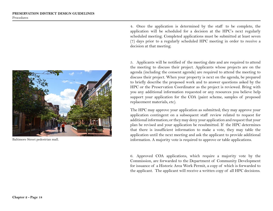

Baltimore Street pedestrian mall.

4. Once the application is determined by the staff to be complete, the application will be scheduled for a decision at the HPC's next regularly scheduled meeting. Completed applications must be submitted at least seven (7) days prior to a regularly scheduled HPC meeting in order to receive a decision at that meeting.

5. Applicants will be notified of the meeting date and are required to attend the meeting to discuss their project. Applicants whose projects are on the agenda (including the consent agenda) are required to attend the meeting to discuss their project. When your property is next on the agenda, be prepared to briefly describe the proposed work and to answer questions asked by the HPC or the Preservation Coordinator as the project is reviewed. Bring with you any additional information requested or any resources you believe help support your application for the COA (paint scheme, samples of proposed replacement materials, etc).

The HPC may approve your application as submitted; they may approve your application contingent on a subsequent staff review related to request for additional information; or they may deny your application and request that your plan be revised and your application be resubmitted. If the HPC determines that there is insufficient information to make a vote, they may table the application until the next meeting and ask the applicant to provide additional information. A majority vote is required to approve or table applications.

6. Approved COA applications, which require a majority vote by the Commission, are forwarded to the Department of Community Development for issuance of a Historic Area Work Permit, a copy of which is forwarded to the applicant. The applicant will receive a written copy of all HPC decisions.